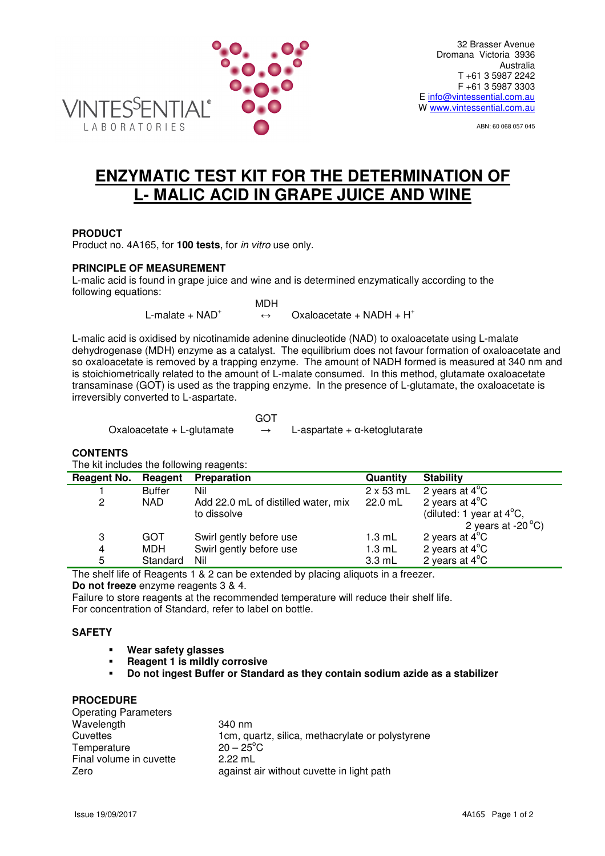

ABN: 60 068 057 045

# **ENZYMATIC TEST KIT FOR THE DETERMINATION OF L- MALIC ACID IN GRAPE JUICE AND WINE**

## **PRODUCT**

Product no. 4A165, for **100 tests**, for in vitro use only.

### **PRINCIPLE OF MEASUREMENT**

LABORATORIES

L-malic acid is found in grape juice and wine and is determined enzymatically according to the following equations:

> MDH L-malate  $+$  NAD<sup>+</sup>  $\leftrightarrow$  Oxaloacetate + NADH + H<sup>+</sup>

L-malic acid is oxidised by nicotinamide adenine dinucleotide (NAD) to oxaloacetate using L-malate dehydrogenase (MDH) enzyme as a catalyst. The equilibrium does not favour formation of oxaloacetate and so oxaloacetate is removed by a trapping enzyme. The amount of NADH formed is measured at 340 nm and is stoichiometrically related to the amount of L-malate consumed. In this method, glutamate oxaloacetate transaminase (GOT) is used as the trapping enzyme. In the presence of L-glutamate, the oxaloacetate is irreversibly converted to L-aspartate.

**GOT** 

Oxaloacetate + L-glutamate  $\rightarrow$  L-aspartate +  $\alpha$ -ketoglutarate

#### **CONTENTS**

The kit includes the following reagents:

| Reagent No. | Reagent       | <b>Preparation</b>                  | Quantity         | <b>Stability</b>                   |
|-------------|---------------|-------------------------------------|------------------|------------------------------------|
|             | <b>Buffer</b> | Nil                                 | $2 \times 53$ mL | 2 years at $4^{\circ}$ C           |
| 2           | <b>NAD</b>    | Add 22.0 mL of distilled water, mix | 22.0 mL          | 2 years at $4^{\circ}$ C           |
|             |               | to dissolve                         |                  | (diluted: 1 year at $4^{\circ}$ C, |
|             |               |                                     |                  | 2 years at -20 $^{\circ}$ C)       |
| 3           | GOT           | Swirl gently before use             | $1.3 \text{ mL}$ | 2 years at $4^{\circ}$ C           |
| 4           | MDH           | Swirl gently before use             | $1.3$ mL         | 2 years at $4^{\circ}$ C           |
| 5           | Standard      | Nil                                 | $3.3 \text{ mL}$ | 2 years at $4^{\circ}$ C           |

The shelf life of Reagents 1 & 2 can be extended by placing aliquots in a freezer.

**Do not freeze** enzyme reagents 3 & 4.

Failure to store reagents at the recommended temperature will reduce their shelf life. For concentration of Standard, refer to label on bottle.

### **SAFETY**

- **Wear safety glasses**
- **Reagent 1 is mildly corrosive**
- **Do not ingest Buffer or Standard as they contain sodium azide as a stabilizer**

#### **PROCEDURE**

| <b>Operating Parameters</b> |                                                  |
|-----------------------------|--------------------------------------------------|
| Wavelength                  | 340 nm                                           |
| Cuvettes                    | 1cm, quartz, silica, methacrylate or polystyrene |
| Temperature                 | $20 - 25^{\circ}$ C                              |
| Final volume in cuvette     | $2.22 \text{ mL}$                                |
| Zero                        | against air without cuvette in light path        |